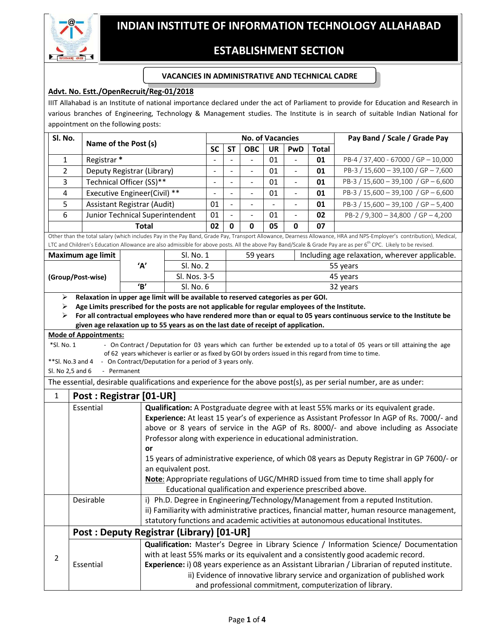# **ESTABLISHMENT SECTION**

#### **VACANCIES IN ADMINISTRATIVE AND TECHNICAL CADRE**

## **Advt. No. Estt./OpenRecruit/Reg-01/2018**

IIIT Allahabad is an Institute of national importance declared under the act of Parliament to provide for Education and Research in various branches of Engineering, Technology & Management studies. The Institute is in search of suitable Indian National for appointment on the following posts:

| Sl. No.                                                                                                                                                                    |                                                                                                           | Name of the Post (s)                                                                                  |                                                                                                | <b>No. of Vacancies</b>                                                                     |                                                                                    |                          |           |                          |              | Pay Band / Scale / Grade Pay                                                                                                                                        |  |
|----------------------------------------------------------------------------------------------------------------------------------------------------------------------------|-----------------------------------------------------------------------------------------------------------|-------------------------------------------------------------------------------------------------------|------------------------------------------------------------------------------------------------|---------------------------------------------------------------------------------------------|------------------------------------------------------------------------------------|--------------------------|-----------|--------------------------|--------------|---------------------------------------------------------------------------------------------------------------------------------------------------------------------|--|
|                                                                                                                                                                            |                                                                                                           |                                                                                                       |                                                                                                | <b>SC</b>                                                                                   | <b>ST</b>                                                                          | <b>OBC</b>               | <b>UR</b> | PwD                      | <b>Total</b> |                                                                                                                                                                     |  |
| 1                                                                                                                                                                          |                                                                                                           | Registrar <sup>*</sup>                                                                                |                                                                                                | $\overline{\phantom{a}}$                                                                    |                                                                                    | $\overline{\phantom{a}}$ | 01        |                          | 01           | PB-4 / 37,400 - 67000 / GP - 10,000                                                                                                                                 |  |
| $\overline{2}$                                                                                                                                                             |                                                                                                           | Deputy Registrar (Library)                                                                            |                                                                                                |                                                                                             |                                                                                    | $\frac{1}{2}$            | 01        | $\blacksquare$           | 01           | PB-3 / 15,600 - 39,100 / GP - 7,600                                                                                                                                 |  |
| 3                                                                                                                                                                          |                                                                                                           | Technical Officer (SS)**                                                                              |                                                                                                |                                                                                             |                                                                                    |                          | 01        |                          | 01           | PB-3 / 15,600 - 39,100 / GP - 6,600                                                                                                                                 |  |
| 4                                                                                                                                                                          |                                                                                                           | Executive Engineer(Civil) **                                                                          |                                                                                                |                                                                                             | $\blacksquare$                                                                     | $\qquad \qquad -$        | 01        | $\blacksquare$           | 01           | PB-3 / 15,600 - 39,100 / GP - 6,600                                                                                                                                 |  |
| 5                                                                                                                                                                          |                                                                                                           | Assistant Registrar (Audit)                                                                           |                                                                                                | 01                                                                                          | $\blacksquare$                                                                     | $\overline{\phantom{0}}$ |           | $\overline{\phantom{a}}$ | 01           | PB-3 / 15,600 - 39,100 / GP - 5,400                                                                                                                                 |  |
| 6                                                                                                                                                                          |                                                                                                           | Junior Technical Superintendent                                                                       |                                                                                                | 01                                                                                          |                                                                                    |                          | 01        |                          | 02           | PB-2 / 9,300 - 34,800 / GP - 4,200                                                                                                                                  |  |
|                                                                                                                                                                            |                                                                                                           | <b>Total</b>                                                                                          |                                                                                                | 02                                                                                          | 0                                                                                  | 0                        | 05        | 0                        | 07           |                                                                                                                                                                     |  |
|                                                                                                                                                                            |                                                                                                           |                                                                                                       |                                                                                                |                                                                                             |                                                                                    |                          |           |                          |              | Other than the total salary (which includes Pay in the Pay Band, Grade Pay, Transport Allowance, Dearness Allowance, HRA and NPS-Employer's contribution), Medical, |  |
| LTC and Children's Education Allowance are also admissible for above posts. All the above Pay Band/Scale & Grade Pay are as per 6 <sup>th</sup> CPC. Likely to be revised. |                                                                                                           |                                                                                                       |                                                                                                |                                                                                             |                                                                                    |                          |           |                          |              |                                                                                                                                                                     |  |
|                                                                                                                                                                            | Maximum age limit                                                                                         |                                                                                                       | Sl. No. 1                                                                                      |                                                                                             |                                                                                    | 59 years                 |           |                          |              | Including age relaxation, wherever applicable.                                                                                                                      |  |
|                                                                                                                                                                            |                                                                                                           | 'Α'                                                                                                   | Sl. No. 2                                                                                      |                                                                                             | 55 years                                                                           |                          |           |                          |              |                                                                                                                                                                     |  |
|                                                                                                                                                                            | (Group/Post-wise)                                                                                         |                                                                                                       | Sl. Nos. 3-5                                                                                   |                                                                                             | 45 years                                                                           |                          |           |                          |              |                                                                                                                                                                     |  |
|                                                                                                                                                                            |                                                                                                           | B'<br>Sl. No. 6<br>Relaxation in upper age limit will be available to reserved categories as per GOI. |                                                                                                |                                                                                             | 32 years                                                                           |                          |           |                          |              |                                                                                                                                                                     |  |
| ⋗<br>≻                                                                                                                                                                     | Age Limits prescribed for the posts are not applicable for regular employees of the Institute.            |                                                                                                       |                                                                                                |                                                                                             |                                                                                    |                          |           |                          |              |                                                                                                                                                                     |  |
| ≻                                                                                                                                                                          |                                                                                                           |                                                                                                       |                                                                                                |                                                                                             |                                                                                    |                          |           |                          |              | For all contractual employees who have rendered more than or equal to 05 years continuous service to the Institute be                                               |  |
|                                                                                                                                                                            |                                                                                                           | given age relaxation up to 55 years as on the last date of receipt of application.                    |                                                                                                |                                                                                             |                                                                                    |                          |           |                          |              |                                                                                                                                                                     |  |
|                                                                                                                                                                            | <b>Mode of Appointments:</b>                                                                              |                                                                                                       |                                                                                                |                                                                                             |                                                                                    |                          |           |                          |              |                                                                                                                                                                     |  |
| *Sl. No. 1                                                                                                                                                                 |                                                                                                           |                                                                                                       |                                                                                                |                                                                                             |                                                                                    |                          |           |                          |              | - On Contract / Deputation for 03 years which can further be extended up to a total of 05 years or till attaining the age                                           |  |
|                                                                                                                                                                            |                                                                                                           |                                                                                                       |                                                                                                |                                                                                             |                                                                                    |                          |           |                          |              | of 62 years whichever is earlier or as fixed by GOI by orders issued in this regard from time to time.                                                              |  |
|                                                                                                                                                                            | **Sl. No.3 and 4<br>Sl. No 2,5 and 6                                                                      | - On Contract/Deputation for a period of 3 years only.<br>- Permanent                                 |                                                                                                |                                                                                             |                                                                                    |                          |           |                          |              |                                                                                                                                                                     |  |
|                                                                                                                                                                            |                                                                                                           |                                                                                                       |                                                                                                |                                                                                             |                                                                                    |                          |           |                          |              |                                                                                                                                                                     |  |
| The essential, desirable qualifications and experience for the above post(s), as per serial number, are as under:                                                          |                                                                                                           |                                                                                                       |                                                                                                |                                                                                             |                                                                                    |                          |           |                          |              |                                                                                                                                                                     |  |
| $\mathbf{1}$                                                                                                                                                               | Post: Registrar [01-UR]                                                                                   |                                                                                                       |                                                                                                |                                                                                             |                                                                                    |                          |           |                          |              |                                                                                                                                                                     |  |
|                                                                                                                                                                            | Essential                                                                                                 |                                                                                                       | Qualification: A Postgraduate degree with at least 55% marks or its equivalent grade.          |                                                                                             |                                                                                    |                          |           |                          |              |                                                                                                                                                                     |  |
|                                                                                                                                                                            |                                                                                                           |                                                                                                       | Experience: At least 15 year's of experience as Assistant Professor In AGP of Rs. 7000/- and   |                                                                                             |                                                                                    |                          |           |                          |              |                                                                                                                                                                     |  |
|                                                                                                                                                                            |                                                                                                           |                                                                                                       | above or 8 years of service in the AGP of Rs. 8000/- and above including as Associate          |                                                                                             |                                                                                    |                          |           |                          |              |                                                                                                                                                                     |  |
|                                                                                                                                                                            |                                                                                                           |                                                                                                       | Professor along with experience in educational administration.                                 |                                                                                             |                                                                                    |                          |           |                          |              |                                                                                                                                                                     |  |
|                                                                                                                                                                            | or<br>15 years of administrative experience, of which 08 years as Deputy Registrar in GP 7600/- or        |                                                                                                       |                                                                                                |                                                                                             |                                                                                    |                          |           |                          |              |                                                                                                                                                                     |  |
|                                                                                                                                                                            |                                                                                                           |                                                                                                       |                                                                                                |                                                                                             |                                                                                    |                          |           |                          |              |                                                                                                                                                                     |  |
|                                                                                                                                                                            | an equivalent post.<br>Note: Appropriate regulations of UGC/MHRD issued from time to time shall apply for |                                                                                                       |                                                                                                |                                                                                             |                                                                                    |                          |           |                          |              |                                                                                                                                                                     |  |
|                                                                                                                                                                            | Educational qualification and experience prescribed above.                                                |                                                                                                       |                                                                                                |                                                                                             |                                                                                    |                          |           |                          |              |                                                                                                                                                                     |  |
|                                                                                                                                                                            | i) Ph.D. Degree in Engineering/Technology/Management from a reputed Institution.<br>Desirable             |                                                                                                       |                                                                                                |                                                                                             |                                                                                    |                          |           |                          |              |                                                                                                                                                                     |  |
|                                                                                                                                                                            |                                                                                                           |                                                                                                       |                                                                                                | ii) Familiarity with administrative practices, financial matter, human resource management, |                                                                                    |                          |           |                          |              |                                                                                                                                                                     |  |
|                                                                                                                                                                            |                                                                                                           |                                                                                                       | statutory functions and academic activities at autonomous educational Institutes.              |                                                                                             |                                                                                    |                          |           |                          |              |                                                                                                                                                                     |  |
|                                                                                                                                                                            | Post: Deputy Registrar (Library) [01-UR]                                                                  |                                                                                                       |                                                                                                |                                                                                             |                                                                                    |                          |           |                          |              |                                                                                                                                                                     |  |
| $\overline{2}$                                                                                                                                                             |                                                                                                           |                                                                                                       | Qualification: Master's Degree in Library Science / Information Science/ Documentation         |                                                                                             |                                                                                    |                          |           |                          |              |                                                                                                                                                                     |  |
|                                                                                                                                                                            |                                                                                                           |                                                                                                       |                                                                                                |                                                                                             | with at least 55% marks or its equivalent and a consistently good academic record. |                          |           |                          |              |                                                                                                                                                                     |  |
|                                                                                                                                                                            | Essential                                                                                                 |                                                                                                       | Experience: i) 08 years experience as an Assistant Librarian / Librarian of reputed institute. |                                                                                             |                                                                                    |                          |           |                          |              |                                                                                                                                                                     |  |
|                                                                                                                                                                            |                                                                                                           |                                                                                                       | ii) Evidence of innovative library service and organization of published work                  |                                                                                             |                                                                                    |                          |           |                          |              |                                                                                                                                                                     |  |
|                                                                                                                                                                            |                                                                                                           |                                                                                                       | and professional commitment, computerization of library.                                       |                                                                                             |                                                                                    |                          |           |                          |              |                                                                                                                                                                     |  |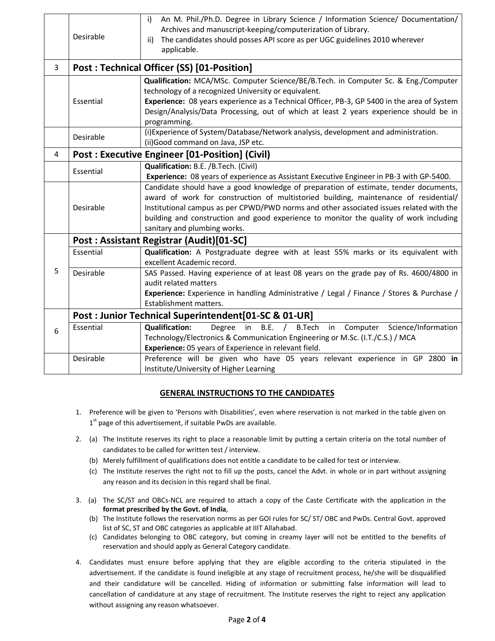|   | Desirable                                                                                                                                                                                                                               | An M. Phil./Ph.D. Degree in Library Science / Information Science/ Documentation/<br>i)<br>Archives and manuscript-keeping/computerization of Library.<br>The candidates should posses API score as per UGC guidelines 2010 wherever<br>ii)<br>applicable.                                                                                                                                        |  |  |  |  |  |  |  |
|---|-----------------------------------------------------------------------------------------------------------------------------------------------------------------------------------------------------------------------------------------|---------------------------------------------------------------------------------------------------------------------------------------------------------------------------------------------------------------------------------------------------------------------------------------------------------------------------------------------------------------------------------------------------|--|--|--|--|--|--|--|
| 3 |                                                                                                                                                                                                                                         | Post: Technical Officer (SS) [01-Position]                                                                                                                                                                                                                                                                                                                                                        |  |  |  |  |  |  |  |
|   | Essential                                                                                                                                                                                                                               | Qualification: MCA/MSc. Computer Science/BE/B.Tech. in Computer Sc. & Eng./Computer<br>technology of a recognized University or equivalent.<br>Experience: 08 years experience as a Technical Officer, PB-3, GP 5400 in the area of System<br>Design/Analysis/Data Processing, out of which at least 2 years experience should be in<br>programming.                                              |  |  |  |  |  |  |  |
|   | Desirable                                                                                                                                                                                                                               | (i) Experience of System/Database/Network analysis, development and administration.<br>(ii) Good command on Java, JSP etc.                                                                                                                                                                                                                                                                        |  |  |  |  |  |  |  |
| 4 |                                                                                                                                                                                                                                         | <b>Post: Executive Engineer [01-Position] (Civil)</b>                                                                                                                                                                                                                                                                                                                                             |  |  |  |  |  |  |  |
|   | Essential                                                                                                                                                                                                                               | Qualification: B.E. /B.Tech. (Civil)<br>Experience: 08 years of experience as Assistant Executive Engineer in PB-3 with GP-5400.                                                                                                                                                                                                                                                                  |  |  |  |  |  |  |  |
|   | Desirable                                                                                                                                                                                                                               | Candidate should have a good knowledge of preparation of estimate, tender documents,<br>award of work for construction of multistoried building, maintenance of residential/<br>Institutional campus as per CPWD/PWD norms and other associated issues related with the<br>building and construction and good experience to monitor the quality of work including<br>sanitary and plumbing works. |  |  |  |  |  |  |  |
|   |                                                                                                                                                                                                                                         | Post: Assistant Registrar (Audit)[01-SC]                                                                                                                                                                                                                                                                                                                                                          |  |  |  |  |  |  |  |
|   | Essential                                                                                                                                                                                                                               | Qualification: A Postgraduate degree with at least 55% marks or its equivalent with<br>excellent Academic record.                                                                                                                                                                                                                                                                                 |  |  |  |  |  |  |  |
| 5 | SAS Passed. Having experience of at least 08 years on the grade pay of Rs. 4600/4800 in<br>audit related matters<br>Experience: Experience in handling Administrative / Legal / Finance / Stores & Purchase /<br>Establishment matters. |                                                                                                                                                                                                                                                                                                                                                                                                   |  |  |  |  |  |  |  |
|   | Post: Junior Technical Superintendent [01-SC & 01-UR]                                                                                                                                                                                   |                                                                                                                                                                                                                                                                                                                                                                                                   |  |  |  |  |  |  |  |
| 6 | Essential                                                                                                                                                                                                                               | <b>Qualification:</b><br>B.E. / B.Tech<br>in Computer Science/Information<br>Degree<br>in<br>Technology/Electronics & Communication Engineering or M.Sc. (I.T./C.S.) / MCA<br>Experience: 05 years of Experience in relevant field.                                                                                                                                                               |  |  |  |  |  |  |  |
|   | Desirable                                                                                                                                                                                                                               | Preference will be given who have 05 years relevant experience in GP 2800 in<br>Institute/University of Higher Learning                                                                                                                                                                                                                                                                           |  |  |  |  |  |  |  |

### **GENERAL INSTRUCTIONS TO THE CANDIDATES**

- 1. Preference will be given to 'Persons with Disabilities', even where reservation is not marked in the table given on  $1<sup>st</sup>$  page of this advertisement, if suitable PwDs are available.
- 2. (a) The Institute reserves its right to place a reasonable limit by putting a certain criteria on the total number of candidates to be called for written test / interview.
	- (b) Merely fulfillment of qualifications does not entitle a candidate to be called for test or interview.
	- (c) The Institute reserves the right not to fill up the posts, cancel the Advt. in whole or in part without assigning any reason and its decision in this regard shall be final.
- 3. (a) The SC/ST and OBCs-NCL are required to attach a copy of the Caste Certificate with the application in the **format prescribed by the Govt. of India**,
	- (b) The Institute follows the reservation norms as per GOI rules for SC/ ST/ OBC and PwDs. Central Govt. approved list of SC, ST and OBC categories as applicable at IIIT Allahabad.
	- (c) Candidates belonging to OBC category, but coming in creamy layer will not be entitled to the benefits of reservation and should apply as General Category candidate.
- 4. Candidates must ensure before applying that they are eligible according to the criteria stipulated in the advertisement. If the candidate is found ineligible at any stage of recruitment process, he/she will be disqualified and their candidature will be cancelled. Hiding of information or submitting false information will lead to cancellation of candidature at any stage of recruitment. The Institute reserves the right to reject any application without assigning any reason whatsoever.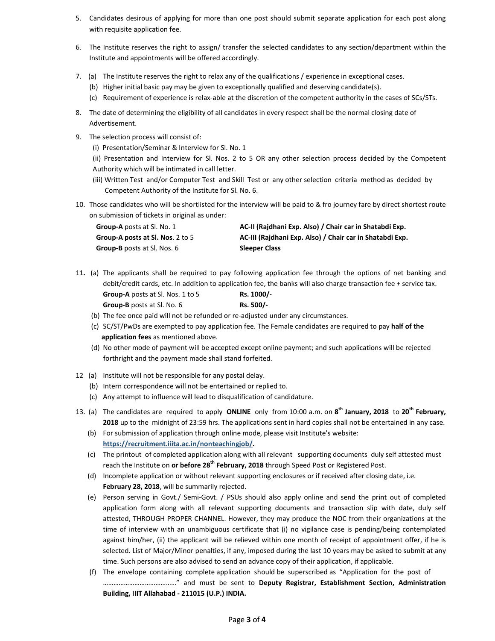- 5. Candidates desirous of applying for more than one post should submit separate application for each post along with requisite application fee.
- 6. The Institute reserves the right to assign/ transfer the selected candidates to any section/department within the Institute and appointments will be offered accordingly.
- 7. (a) The Institute reserves the right to relax any of the qualifications / experience in exceptional cases.
	- (b) Higher initial basic pay may be given to exceptionally qualified and deserving candidate(s).
	- (c) Requirement of experience is relax-able at the discretion of the competent authority in the cases of SCs/STs.
- 8. The date of determining the eligibility of all candidates in every respect shall be the normal closing date of Advertisement.
- 9. The selection process will consist of:
	- (i) Presentation/Seminar & Interview for Sl. No. 1
	- (ii) Presentation and Interview for Sl. Nos. 2 to 5 OR any other selection process decided by the Competent Authority which will be intimated in call letter.
	- (iii) Written Test and/or Computer Test and Skill Test or any other selection criteria method as decided by Competent Authority of the Institute for Sl. No. 6.
- 10. Those candidates who will be shortlisted for the interview will be paid to & fro journey fare by direct shortest route on submission of tickets in original as under:

| <b>Group-A</b> posts at Sl. No. 1  | AC-II (Rajdhani Exp. Also) / Chair car in Shatabdi Exp.  |
|------------------------------------|----------------------------------------------------------|
| Group-A posts at Sl. Nos. 2 to 5   | AC-III (Rajdhani Exp. Also) / Chair car in Shatabdi Exp. |
| <b>Group-B</b> posts at Sl. Nos. 6 | <b>Sleeper Class</b>                                     |

- 11**.** (a) The applicants shall be required to pay following application fee through the options of net banking and debit/credit cards, etc. In addition to application fee, the banks will also charge transaction fee + service tax. **Group-A** posts at Sl. Nos. 1 to 5 **Rs. 1000/-**
	- **Group-B** posts at Sl. No. 6 **Rs. 500/-**(b) The fee once paid will not be refunded or re-adjusted under any circumstances.
	- (c) SC/ST/PwDs are exempted to pay application fee. The Female candidates are required to pay **half of the application fees** as mentioned above.
	- (d) No other mode of payment will be accepted except online payment; and such applications will be rejected forthright and the payment made shall stand forfeited.
- 12 (a) Institute will not be responsible for any postal delay.
	- (b) Intern correspondence will not be entertained or replied to.
	- (c) Any attempt to influence will lead to disqualification of candidature.
- 13. (a) The candidates are required to apply **ONLINE** only from 10:00 a.m. on **8 th January, 2018** to **20th February, 2018** up to the midnight of 23:59 hrs. The applications sent in hard copies shall not be entertained in any case.
	- (b) For submission of application through online mode, please visit Institute's website: **https://recruitment.iiita.ac.in/nonteachingjob/.**
	- (c) The printout of completed application along with all relevant supporting documents duly self attested must reach the Institute on **or before 28th February, 2018** through Speed Post or Registered Post.
	- (d) Incomplete application or without relevant supporting enclosures or if received after closing date, i.e. **February 28, 2018**, will be summarily rejected.
	- (e) Person serving in Govt./ Semi-Govt. / PSUs should also apply online and send the print out of completed application form along with all relevant supporting documents and transaction slip with date, duly self attested, THROUGH PROPER CHANNEL. However, they may produce the NOC from their organizations at the time of interview with an unambiguous certificate that (i) no vigilance case is pending/being contemplated against him/her, (ii) the applicant will be relieved within one month of receipt of appointment offer, if he is selected. List of Major/Minor penalties, if any, imposed during the last 10 years may be asked to submit at any time. Such persons are also advised to send an advance copy of their application, if applicable.
	- (f) The envelope containing complete application should be superscribed as "Application for the post of ……………………………………" and must be sent to **Deputy Registrar, Establishment Section, Administration Building, IIIT Allahabad - 211015 (U.P.) INDIA.**